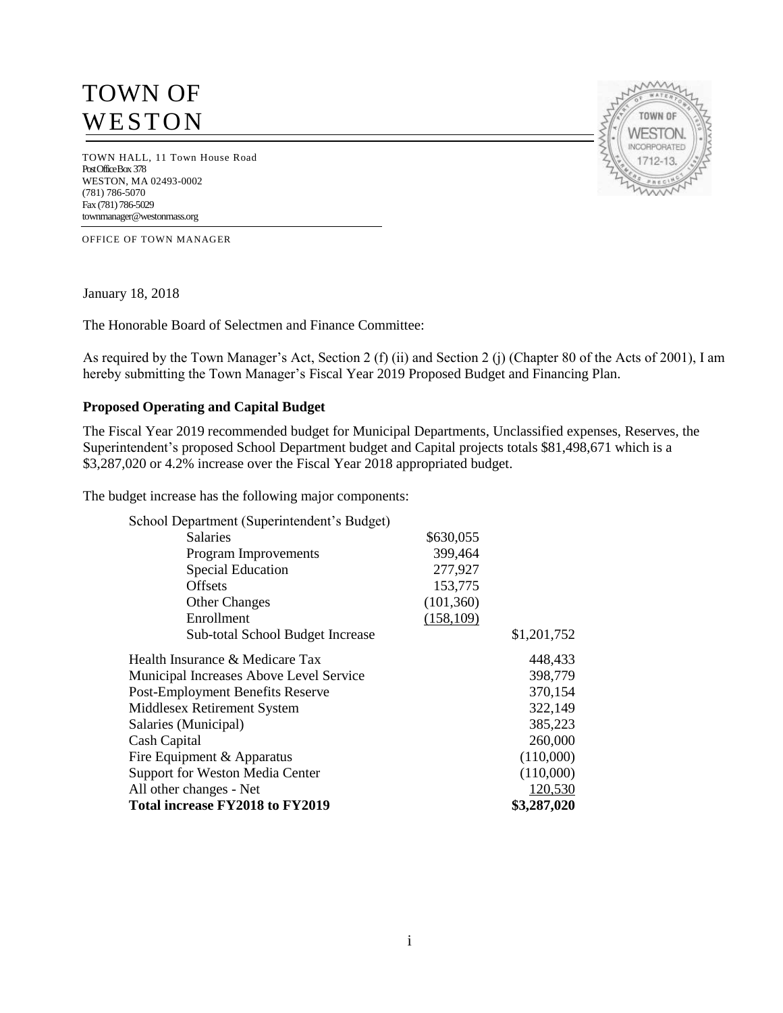# TOWN OF **WESTON**

TOWN HALL, 11 Town House Road Post Office Box 378 WESTON, MA 02493-0002 (781) 786-5070 Fax (781) 786-5029 townmanager@westonmass.org

OFFICE OF TOWN MANAGER

January 18, 2018

The Honorable Board of Selectmen and Finance Committee:

As required by the Town Manager's Act, Section 2 (f) (ii) and Section 2 (j) (Chapter 80 of the Acts of 2001), I am hereby submitting the Town Manager's Fiscal Year 2019 Proposed Budget and Financing Plan.

#### **Proposed Operating and Capital Budget**

The Fiscal Year 2019 recommended budget for Municipal Departments, Unclassified expenses, Reserves, the Superintendent's proposed School Department budget and Capital projects totals \$81,498,671 which is a \$3,287,020 or 4.2% increase over the Fiscal Year 2018 appropriated budget.

The budget increase has the following major components:

| School Department (Superintendent's Budget)    |            |             |
|------------------------------------------------|------------|-------------|
| <b>Salaries</b>                                | \$630,055  |             |
| Program Improvements                           | 399,464    |             |
| <b>Special Education</b>                       | 277,927    |             |
| <b>Offsets</b>                                 | 153,775    |             |
| <b>Other Changes</b>                           | (101, 360) |             |
| Enrollment                                     | (158, 109) |             |
| Sub-total School Budget Increase               |            | \$1,201,752 |
| Health Insurance & Medicare Tax                |            | 448,433     |
| <b>Municipal Increases Above Level Service</b> |            | 398,779     |
| <b>Post-Employment Benefits Reserve</b>        |            | 370,154     |
| Middlesex Retirement System                    |            | 322,149     |
| Salaries (Municipal)                           |            | 385,223     |
| Cash Capital                                   |            | 260,000     |
| Fire Equipment & Apparatus                     |            | (110,000)   |
| <b>Support for Weston Media Center</b>         |            | (110,000)   |
| All other changes - Net                        |            | 120,530     |
| Total increase FY2018 to FY2019                |            | \$3,287,020 |

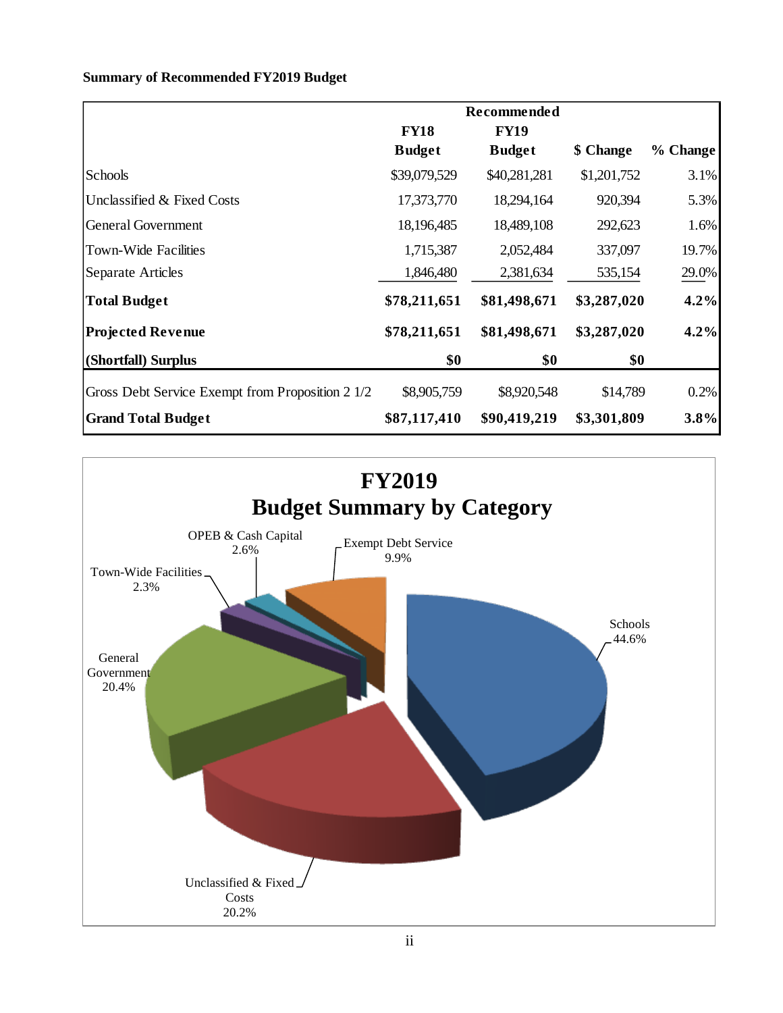# **Summary of Recommended FY2019 Budget**

|                                                  | Recommended   |               |             |          |
|--------------------------------------------------|---------------|---------------|-------------|----------|
|                                                  | <b>FY18</b>   | <b>FY19</b>   |             |          |
|                                                  | <b>Budget</b> | <b>Budget</b> | \$ Change   | % Change |
| Schools                                          | \$39,079,529  | \$40,281,281  | \$1,201,752 | 3.1%     |
| Unclassified & Fixed Costs                       | 17,373,770    | 18,294,164    | 920,394     | 5.3%     |
| <b>General Government</b>                        | 18,196,485    | 18,489,108    | 292,623     | 1.6%     |
| <b>Town-Wide Facilities</b>                      | 1,715,387     | 2,052,484     | 337,097     | 19.7%    |
| Separate Articles                                | 1,846,480     | 2,381,634     | 535,154     | 29.0%    |
| <b>Total Budget</b>                              | \$78,211,651  | \$81,498,671  | \$3,287,020 | 4.2%     |
| <b>Projected Revenue</b>                         | \$78,211,651  | \$81,498,671  | \$3,287,020 | 4.2%     |
| (Shortfall) Surplus                              | \$0           | \$0           | \$0         |          |
| Gross Debt Service Exempt from Proposition 2 1/2 | \$8,905,759   | \$8,920,548   | \$14,789    | 0.2%     |
| <b>Grand Total Budget</b>                        | \$87,117,410  | \$90,419,219  | \$3,301,809 | 3.8%     |

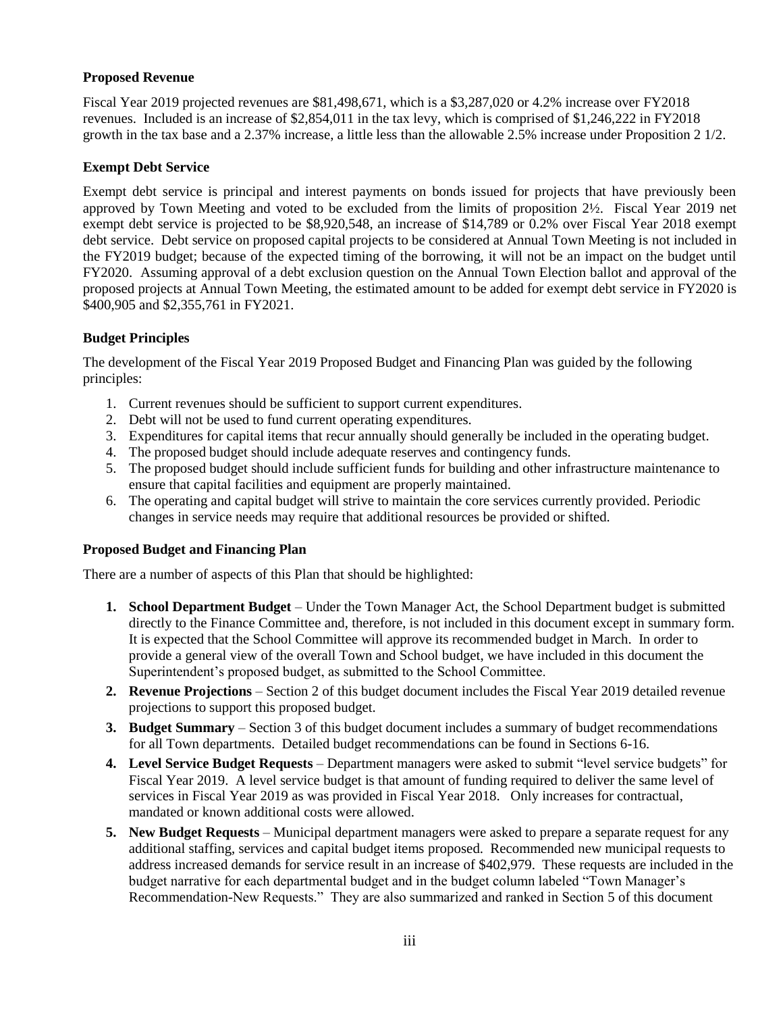# **Proposed Revenue**

Fiscal Year 2019 projected revenues are \$81,498,671, which is a \$3,287,020 or 4.2% increase over FY2018 revenues. Included is an increase of \$2,854,011 in the tax levy, which is comprised of \$1,246,222 in FY2018 growth in the tax base and a 2.37% increase, a little less than the allowable 2.5% increase under Proposition 2 1/2.

### **Exempt Debt Service**

Exempt debt service is principal and interest payments on bonds issued for projects that have previously been approved by Town Meeting and voted to be excluded from the limits of proposition 2½. Fiscal Year 2019 net exempt debt service is projected to be \$8,920,548, an increase of \$14,789 or 0.2% over Fiscal Year 2018 exempt debt service. Debt service on proposed capital projects to be considered at Annual Town Meeting is not included in the FY2019 budget; because of the expected timing of the borrowing, it will not be an impact on the budget until FY2020. Assuming approval of a debt exclusion question on the Annual Town Election ballot and approval of the proposed projects at Annual Town Meeting, the estimated amount to be added for exempt debt service in FY2020 is \$400,905 and \$2,355,761 in FY2021.

# **Budget Principles**

The development of the Fiscal Year 2019 Proposed Budget and Financing Plan was guided by the following principles:

- 1. Current revenues should be sufficient to support current expenditures.
- 2. Debt will not be used to fund current operating expenditures.
- 3. Expenditures for capital items that recur annually should generally be included in the operating budget.
- 4. The proposed budget should include adequate reserves and contingency funds.
- 5. The proposed budget should include sufficient funds for building and other infrastructure maintenance to ensure that capital facilities and equipment are properly maintained.
- 6. The operating and capital budget will strive to maintain the core services currently provided. Periodic changes in service needs may require that additional resources be provided or shifted.

# **Proposed Budget and Financing Plan**

There are a number of aspects of this Plan that should be highlighted:

- **1. School Department Budget** Under the Town Manager Act, the School Department budget is submitted directly to the Finance Committee and, therefore, is not included in this document except in summary form. It is expected that the School Committee will approve its recommended budget in March. In order to provide a general view of the overall Town and School budget, we have included in this document the Superintendent's proposed budget, as submitted to the School Committee.
- **2. Revenue Projections** Section 2 of this budget document includes the Fiscal Year 2019 detailed revenue projections to support this proposed budget.
- **3. Budget Summary** Section 3 of this budget document includes a summary of budget recommendations for all Town departments. Detailed budget recommendations can be found in Sections 6-16.
- **4. Level Service Budget Requests**  Department managers were asked to submit "level service budgets" for Fiscal Year 2019. A level service budget is that amount of funding required to deliver the same level of services in Fiscal Year 2019 as was provided in Fiscal Year 2018. Only increases for contractual, mandated or known additional costs were allowed.
- **5. New Budget Requests**  Municipal department managers were asked to prepare a separate request for any additional staffing, services and capital budget items proposed. Recommended new municipal requests to address increased demands for service result in an increase of \$402,979. These requests are included in the budget narrative for each departmental budget and in the budget column labeled "Town Manager's Recommendation-New Requests." They are also summarized and ranked in Section 5 of this document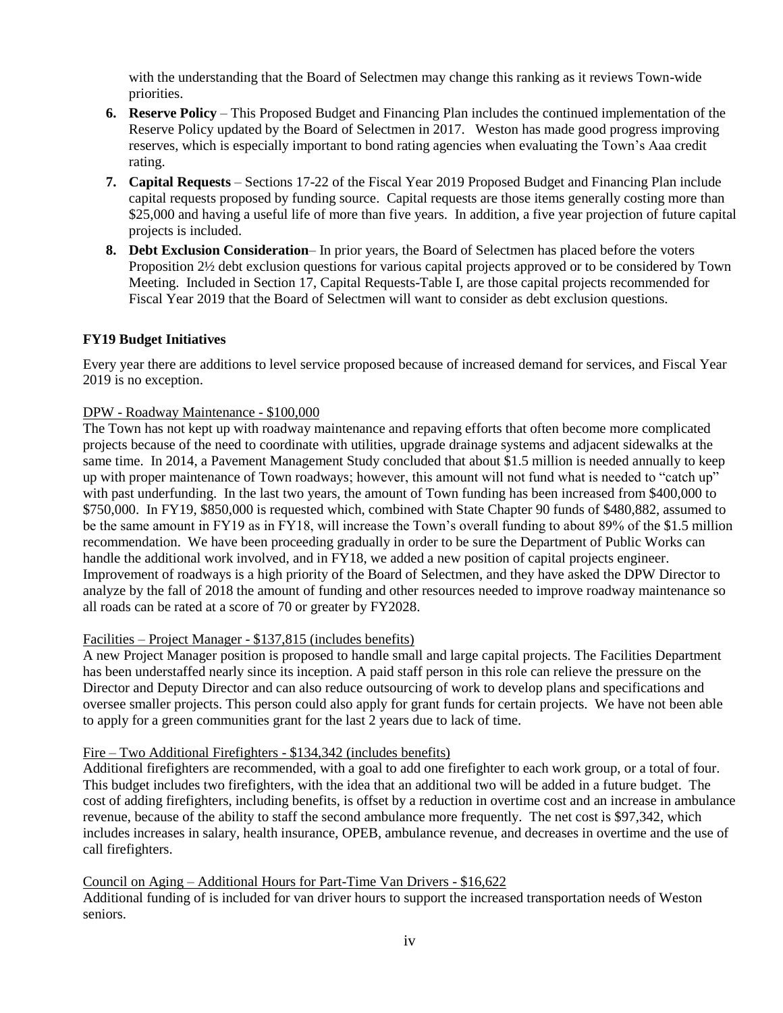with the understanding that the Board of Selectmen may change this ranking as it reviews Town-wide priorities.

- **6. Reserve Policy**  This Proposed Budget and Financing Plan includes the continued implementation of the Reserve Policy updated by the Board of Selectmen in 2017. Weston has made good progress improving reserves, which is especially important to bond rating agencies when evaluating the Town's Aaa credit rating.
- **7. Capital Requests**  Sections 17-22 of the Fiscal Year 2019 Proposed Budget and Financing Plan include capital requests proposed by funding source. Capital requests are those items generally costing more than \$25,000 and having a useful life of more than five years. In addition, a five year projection of future capital projects is included.
- **8. Debt Exclusion Consideration** In prior years, the Board of Selectmen has placed before the voters Proposition 2½ debt exclusion questions for various capital projects approved or to be considered by Town Meeting. Included in Section 17, Capital Requests-Table I, are those capital projects recommended for Fiscal Year 2019 that the Board of Selectmen will want to consider as debt exclusion questions.

# **FY19 Budget Initiatives**

Every year there are additions to level service proposed because of increased demand for services, and Fiscal Year 2019 is no exception.

#### DPW - Roadway Maintenance - \$100,000

The Town has not kept up with roadway maintenance and repaving efforts that often become more complicated projects because of the need to coordinate with utilities, upgrade drainage systems and adjacent sidewalks at the same time. In 2014, a Pavement Management Study concluded that about \$1.5 million is needed annually to keep up with proper maintenance of Town roadways; however, this amount will not fund what is needed to "catch up" with past underfunding. In the last two years, the amount of Town funding has been increased from \$400,000 to \$750,000. In FY19, \$850,000 is requested which, combined with State Chapter 90 funds of \$480,882, assumed to be the same amount in FY19 as in FY18, will increase the Town's overall funding to about 89% of the \$1.5 million recommendation. We have been proceeding gradually in order to be sure the Department of Public Works can handle the additional work involved, and in FY18, we added a new position of capital projects engineer. Improvement of roadways is a high priority of the Board of Selectmen, and they have asked the DPW Director to analyze by the fall of 2018 the amount of funding and other resources needed to improve roadway maintenance so all roads can be rated at a score of 70 or greater by FY2028.

#### Facilities – Project Manager - \$137,815 (includes benefits)

A new Project Manager position is proposed to handle small and large capital projects. The Facilities Department has been understaffed nearly since its inception. A paid staff person in this role can relieve the pressure on the Director and Deputy Director and can also reduce outsourcing of work to develop plans and specifications and oversee smaller projects. This person could also apply for grant funds for certain projects. We have not been able to apply for a green communities grant for the last 2 years due to lack of time.

#### Fire – Two Additional Firefighters - \$134,342 (includes benefits)

Additional firefighters are recommended, with a goal to add one firefighter to each work group, or a total of four. This budget includes two firefighters, with the idea that an additional two will be added in a future budget. The cost of adding firefighters, including benefits, is offset by a reduction in overtime cost and an increase in ambulance revenue, because of the ability to staff the second ambulance more frequently. The net cost is \$97,342, which includes increases in salary, health insurance, OPEB, ambulance revenue, and decreases in overtime and the use of call firefighters.

#### Council on Aging – Additional Hours for Part-Time Van Drivers - \$16,622

Additional funding of is included for van driver hours to support the increased transportation needs of Weston seniors.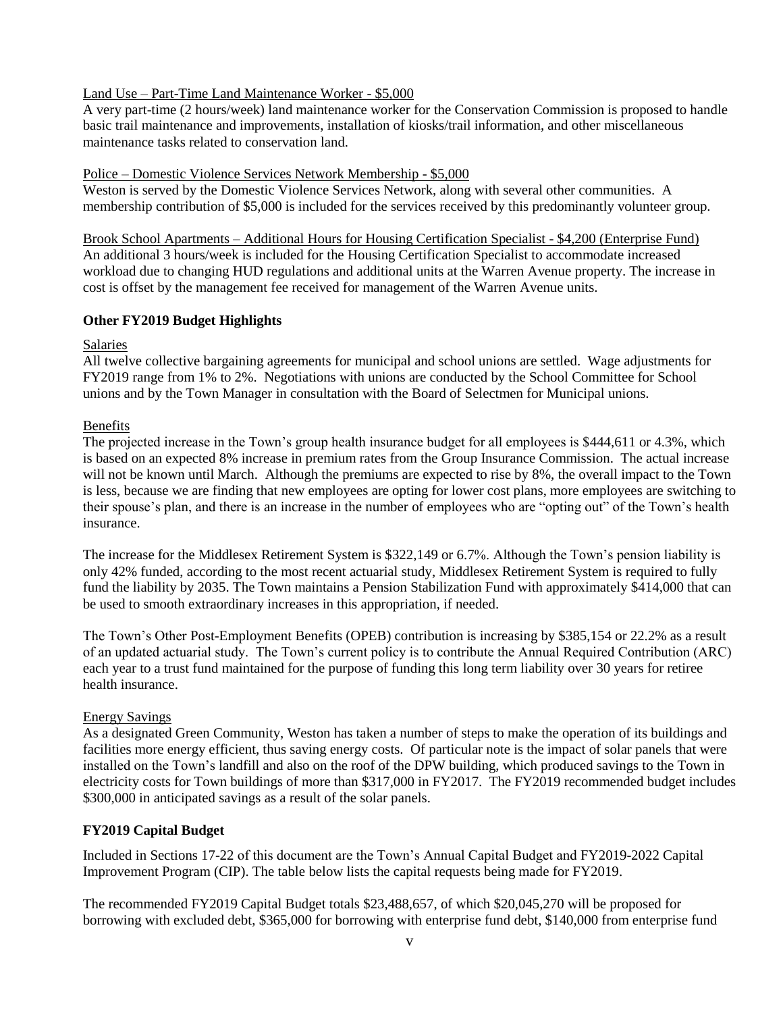#### Land Use – Part-Time Land Maintenance Worker - \$5,000

A very part-time (2 hours/week) land maintenance worker for the Conservation Commission is proposed to handle basic trail maintenance and improvements, installation of kiosks/trail information, and other miscellaneous maintenance tasks related to conservation land.

#### Police – Domestic Violence Services Network Membership - \$5,000

Weston is served by the Domestic Violence Services Network, along with several other communities. A membership contribution of \$5,000 is included for the services received by this predominantly volunteer group.

Brook School Apartments – Additional Hours for Housing Certification Specialist - \$4,200 (Enterprise Fund) An additional 3 hours/week is included for the Housing Certification Specialist to accommodate increased workload due to changing HUD regulations and additional units at the Warren Avenue property. The increase in cost is offset by the management fee received for management of the Warren Avenue units.

#### **Other FY2019 Budget Highlights**

#### Salaries

All twelve collective bargaining agreements for municipal and school unions are settled. Wage adjustments for FY2019 range from 1% to 2%. Negotiations with unions are conducted by the School Committee for School unions and by the Town Manager in consultation with the Board of Selectmen for Municipal unions.

#### Benefits

The projected increase in the Town's group health insurance budget for all employees is \$444,611 or 4.3%, which is based on an expected 8% increase in premium rates from the Group Insurance Commission. The actual increase will not be known until March. Although the premiums are expected to rise by 8%, the overall impact to the Town is less, because we are finding that new employees are opting for lower cost plans, more employees are switching to their spouse's plan, and there is an increase in the number of employees who are "opting out" of the Town's health insurance.

The increase for the Middlesex Retirement System is \$322,149 or 6.7%. Although the Town's pension liability is only 42% funded, according to the most recent actuarial study, Middlesex Retirement System is required to fully fund the liability by 2035. The Town maintains a Pension Stabilization Fund with approximately \$414,000 that can be used to smooth extraordinary increases in this appropriation, if needed.

The Town's Other Post-Employment Benefits (OPEB) contribution is increasing by \$385,154 or 22.2% as a result of an updated actuarial study. The Town's current policy is to contribute the Annual Required Contribution (ARC) each year to a trust fund maintained for the purpose of funding this long term liability over 30 years for retiree health insurance.

#### Energy Savings

As a designated Green Community, Weston has taken a number of steps to make the operation of its buildings and facilities more energy efficient, thus saving energy costs. Of particular note is the impact of solar panels that were installed on the Town's landfill and also on the roof of the DPW building, which produced savings to the Town in electricity costs for Town buildings of more than \$317,000 in FY2017. The FY2019 recommended budget includes \$300,000 in anticipated savings as a result of the solar panels.

#### **FY2019 Capital Budget**

Included in Sections 17-22 of this document are the Town's Annual Capital Budget and FY2019-2022 Capital Improvement Program (CIP). The table below lists the capital requests being made for FY2019.

The recommended FY2019 Capital Budget totals \$23,488,657, of which \$20,045,270 will be proposed for borrowing with excluded debt, \$365,000 for borrowing with enterprise fund debt, \$140,000 from enterprise fund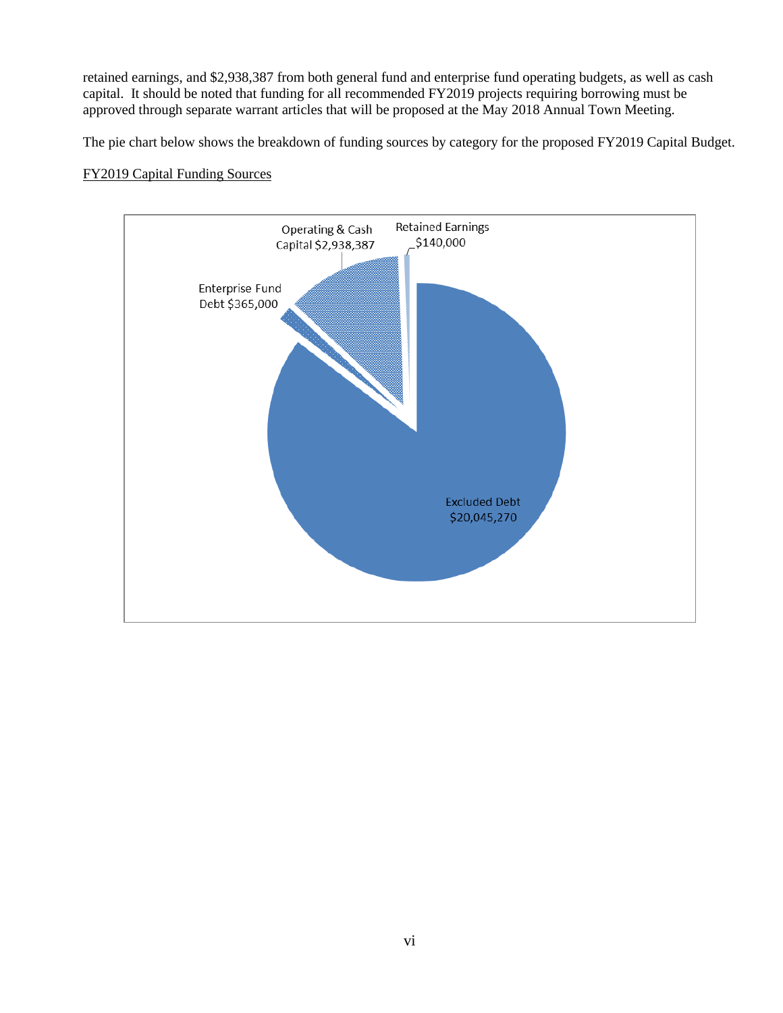retained earnings, and \$2,938,387 from both general fund and enterprise fund operating budgets, as well as cash capital. It should be noted that funding for all recommended FY2019 projects requiring borrowing must be approved through separate warrant articles that will be proposed at the May 2018 Annual Town Meeting.

The pie chart below shows the breakdown of funding sources by category for the proposed FY2019 Capital Budget.

# FY2019 Capital Funding Sources

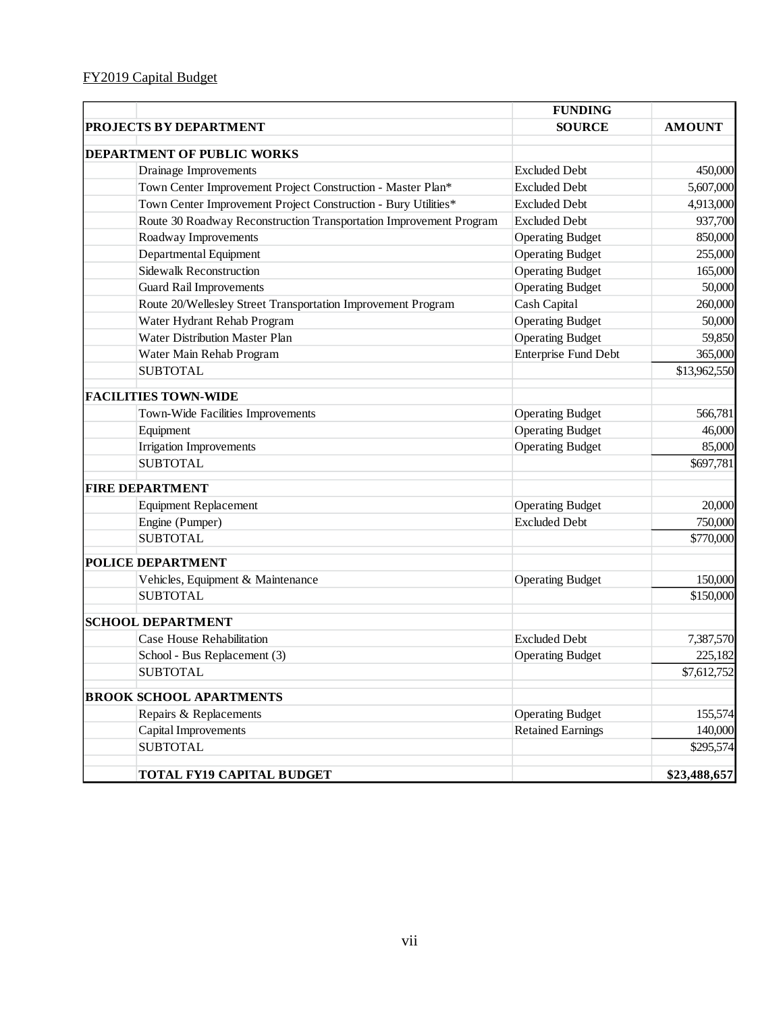|                                                                    | <b>FUNDING</b>              |               |
|--------------------------------------------------------------------|-----------------------------|---------------|
| PROJECTS BY DEPARTMENT                                             | <b>SOURCE</b>               | <b>AMOUNT</b> |
| DEPARTMENT OF PUBLIC WORKS                                         |                             |               |
| Drainage Improvements                                              | <b>Excluded Debt</b>        | 450,000       |
| Town Center Improvement Project Construction - Master Plan*        | <b>Excluded Debt</b>        | 5,607,000     |
| Town Center Improvement Project Construction - Bury Utilities*     | <b>Excluded Debt</b>        | 4,913,000     |
| Route 30 Roadway Reconstruction Transportation Improvement Program | <b>Excluded Debt</b>        | 937,700       |
| Roadway Improvements                                               | <b>Operating Budget</b>     | 850,000       |
| Departmental Equipment                                             | <b>Operating Budget</b>     | 255,000       |
| <b>Sidewalk Reconstruction</b>                                     | <b>Operating Budget</b>     | 165,000       |
| <b>Guard Rail Improvements</b>                                     | <b>Operating Budget</b>     | 50,000        |
| Route 20/Wellesley Street Transportation Improvement Program       | Cash Capital                | 260,000       |
| Water Hydrant Rehab Program                                        | <b>Operating Budget</b>     | 50,000        |
| Water Distribution Master Plan                                     | <b>Operating Budget</b>     | 59,850        |
| Water Main Rehab Program                                           | <b>Enterprise Fund Debt</b> | 365,000       |
| <b>SUBTOTAL</b>                                                    |                             | \$13,962,550  |
| <b>FACILITIES TOWN-WIDE</b>                                        |                             |               |
| Town-Wide Facilities Improvements                                  | <b>Operating Budget</b>     | 566,781       |
| Equipment                                                          | <b>Operating Budget</b>     | 46,000        |
| <b>Irrigation Improvements</b>                                     | <b>Operating Budget</b>     | 85,000        |
| <b>SUBTOTAL</b>                                                    |                             | \$697,781     |
| <b>FIRE DEPARTMENT</b>                                             |                             |               |
| <b>Equipment Replacement</b>                                       | <b>Operating Budget</b>     | 20,000        |
| Engine (Pumper)                                                    | <b>Excluded Debt</b>        | 750,000       |
| <b>SUBTOTAL</b>                                                    |                             | \$770,000     |
| <b>POLICE DEPARTMENT</b>                                           |                             |               |
| Vehicles, Equipment & Maintenance                                  | <b>Operating Budget</b>     | 150,000       |
| <b>SUBTOTAL</b>                                                    |                             | \$150,000     |
| <b>SCHOOL DEPARTMENT</b>                                           |                             |               |
| Case House Rehabilitation                                          | <b>Excluded Debt</b>        | 7,387,570     |
| School - Bus Replacement (3)                                       | <b>Operating Budget</b>     | 225,182       |
| <b>SUBTOTAL</b>                                                    |                             | \$7,612,752   |
| <b>BROOK SCHOOL APARTMENTS</b>                                     |                             |               |
| Repairs & Replacements                                             | <b>Operating Budget</b>     | 155,574       |
| Capital Improvements                                               | <b>Retained Earnings</b>    | 140,000       |
| <b>SUBTOTAL</b>                                                    |                             | \$295,574     |
| <b>TOTAL FY19 CAPITAL BUDGET</b>                                   |                             | \$23,488,657  |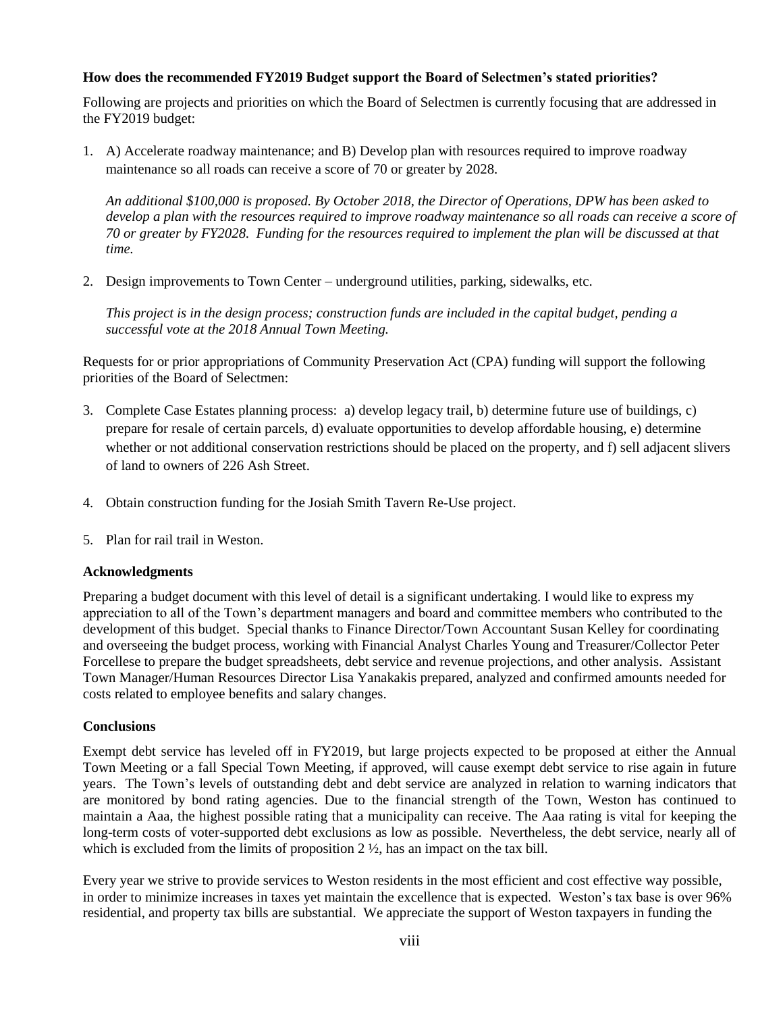# **How does the recommended FY2019 Budget support the Board of Selectmen's stated priorities?**

Following are projects and priorities on which the Board of Selectmen is currently focusing that are addressed in the FY2019 budget:

1. A) Accelerate roadway maintenance; and B) Develop plan with resources required to improve roadway maintenance so all roads can receive a score of 70 or greater by 2028.

*An additional \$100,000 is proposed. By October 2018, the Director of Operations, DPW has been asked to develop a plan with the resources required to improve roadway maintenance so all roads can receive a score of 70 or greater by FY2028. Funding for the resources required to implement the plan will be discussed at that time.*

2. Design improvements to Town Center – underground utilities, parking, sidewalks, etc.

*This project is in the design process; construction funds are included in the capital budget, pending a successful vote at the 2018 Annual Town Meeting.*

Requests for or prior appropriations of Community Preservation Act (CPA) funding will support the following priorities of the Board of Selectmen:

- 3. Complete Case Estates planning process: a) develop legacy trail, b) determine future use of buildings, c) prepare for resale of certain parcels, d) evaluate opportunities to develop affordable housing, e) determine whether or not additional conservation restrictions should be placed on the property, and f) sell adjacent slivers of land to owners of 226 Ash Street.
- 4. Obtain construction funding for the Josiah Smith Tavern Re-Use project.
- 5. Plan for rail trail in Weston.

#### **Acknowledgments**

Preparing a budget document with this level of detail is a significant undertaking. I would like to express my appreciation to all of the Town's department managers and board and committee members who contributed to the development of this budget. Special thanks to Finance Director/Town Accountant Susan Kelley for coordinating and overseeing the budget process, working with Financial Analyst Charles Young and Treasurer/Collector Peter Forcellese to prepare the budget spreadsheets, debt service and revenue projections, and other analysis. Assistant Town Manager/Human Resources Director Lisa Yanakakis prepared, analyzed and confirmed amounts needed for costs related to employee benefits and salary changes.

#### **Conclusions**

Exempt debt service has leveled off in FY2019, but large projects expected to be proposed at either the Annual Town Meeting or a fall Special Town Meeting, if approved, will cause exempt debt service to rise again in future years. The Town's levels of outstanding debt and debt service are analyzed in relation to warning indicators that are monitored by bond rating agencies. Due to the financial strength of the Town, Weston has continued to maintain a Aaa, the highest possible rating that a municipality can receive. The Aaa rating is vital for keeping the long-term costs of voter-supported debt exclusions as low as possible. Nevertheless, the debt service, nearly all of which is excluded from the limits of proposition  $2 \frac{1}{2}$ , has an impact on the tax bill.

Every year we strive to provide services to Weston residents in the most efficient and cost effective way possible, in order to minimize increases in taxes yet maintain the excellence that is expected. Weston's tax base is over 96% residential, and property tax bills are substantial. We appreciate the support of Weston taxpayers in funding the